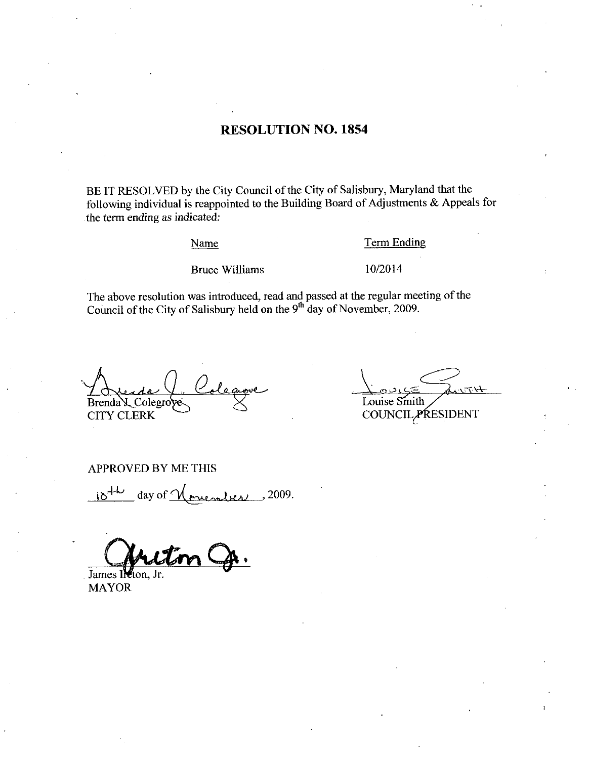### RESOLUTION NO. 1854

BE IT RESOLVED by the City Council of the City of Salisbury, Maryland that the following individual is reappointed to the Building Board of Adjustments  $\&$  Appeals for the term ending as indicated

Name

### Term Ending

Bruce Williams

102014

The above resolution was introduced, read and passed at the regular meeting of the Council of the City of Salisbury held on the  $9<sup>th</sup>$  day of November, 2009.

Brenda L Colegroye CITY CLERK

Louise Smith

COUNCIL PRESIDENT

APPROVED BY ME THIS

 $10^{+\nu}$  day of <u>November</u>, 2009.

A o

James Il ton. MAYOR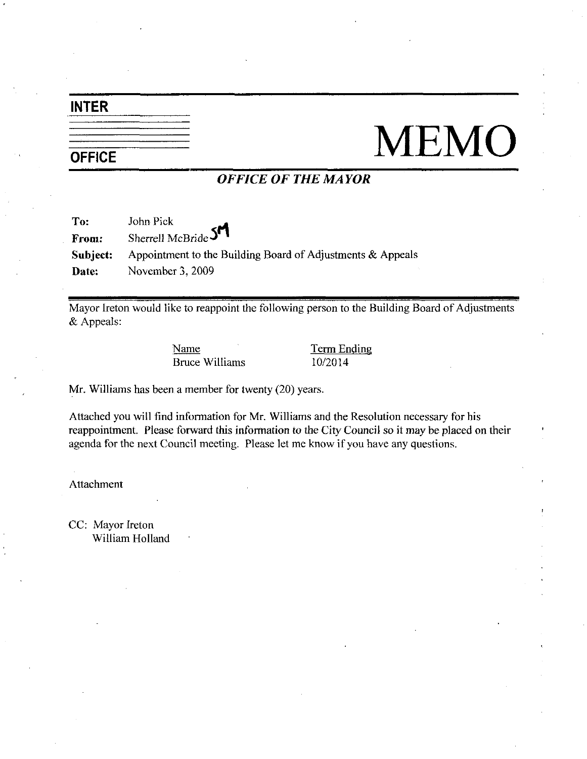### INTER

# NEMO

### OFFICE OF THE MAYOR

| To:      | John Pick                                                     |
|----------|---------------------------------------------------------------|
| From:    | Sherrell McBride SM                                           |
| Subject: | Appointment to the Building Board of Adjustments $\&$ Appeals |
| Date:    | November 3, 2009                                              |

Mayor Ireton would like to reappoint the following person to the Building Board of Adjustments & Appeals:

> Name Term Ending Bruce Williams 10/2014

Mr. Williams has been a member for twenty (20) years.

Attached you will find information for Mr. Williams and the Resolution necessary for his reappointment. Please forward this information to the City Council so it may be placed on their agenda for the next Council meeting. Please let me know if you have any questions.

Attachment

CC: Mayor Ireton William Holland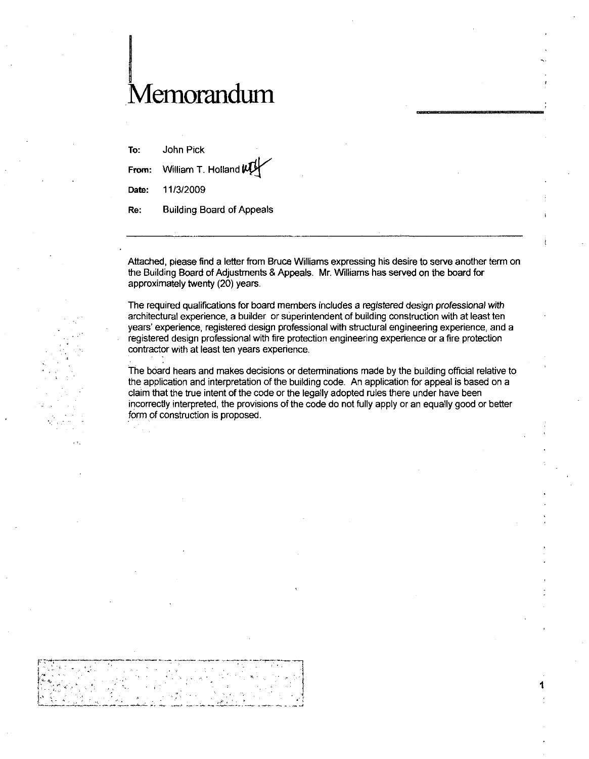## Memorandum

To: John Pick From: William T. Holland  $\not\!\!\! V$ To: John Pick<br>From: William T. F<br>Date: 11/3/2009<br>Date: Building Bo

Re: Building Board of Appeals

Attached, please find a letter from Bruce Williams expressing his desire to serve another term on the Building Board of Adjustments & Appeals. Mr. Williams has served on the board for approximately twenty (20) years.

The required qualifications for board members includes a registered design professional with architectural experience a builder orsuperintendent of building construction with at least ten years' experience, registered design professional with structural engineering experience, and a registered design professional with fire protection engineering experience or afire protection contractor with at least ten years experience

The board hears and makes decisions or determinations made by the building official relative to the application and interpretation of the building code. An application for appeal is based on a claim that the true intent of the code or the legally adopted rules there under have been incorrectly interpreted, the provisions of the code do not fully apply or an equally good or better form of construction is proposed.